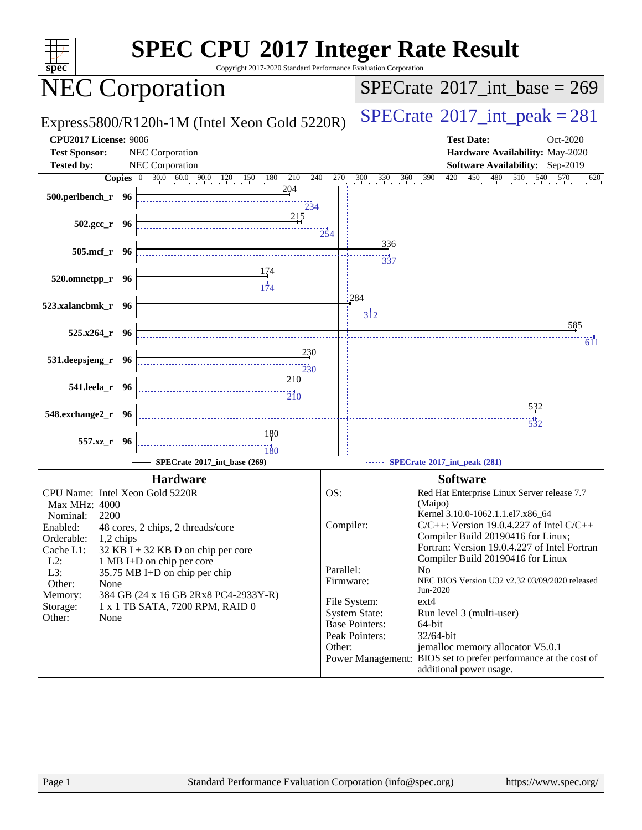| $spec^*$                                                                    | Copyright 2017-2020 Standard Performance Evaluation Corporation | <b>SPEC CPU®2017 Integer Rate Result</b>                                                                                                                                          |
|-----------------------------------------------------------------------------|-----------------------------------------------------------------|-----------------------------------------------------------------------------------------------------------------------------------------------------------------------------------|
| <b>NEC Corporation</b>                                                      |                                                                 | $SPECrate^{\circ}2017\_int\_base = 269$                                                                                                                                           |
| Express5800/R120h-1M (Intel Xeon Gold 5220R)                                |                                                                 | $SPECTate$ <sup>®</sup> 2017_int_peak = 281                                                                                                                                       |
| <b>CPU2017 License: 9006</b><br><b>Test Sponsor:</b><br>NEC Corporation     |                                                                 | <b>Test Date:</b><br>Oct-2020<br>Hardware Availability: May-2020                                                                                                                  |
| NEC Corporation<br><b>Tested by:</b>                                        |                                                                 | Software Availability: Sep-2019                                                                                                                                                   |
|                                                                             |                                                                 | <b>Copies</b> $\begin{bmatrix} 0 & 30.0 & 60.0 & 90.0 & 120 & 150 & 180 & 210 & 240 & 270 & 300 & 330 & 360 & 390 & 420 & 450 & 480 & 510 & 540 & 570 & 620 \end{bmatrix}$<br>620 |
| 500.perlbench_r 96                                                          | 204<br>234                                                      |                                                                                                                                                                                   |
| $502.\text{sec}_r$ 96                                                       | 215<br>$2\overline{5}4$                                         |                                                                                                                                                                                   |
| 505.mcf_r 96                                                                |                                                                 | $\frac{336}{5}$<br>$\frac{1}{337}$                                                                                                                                                |
| $\frac{174}{174}$<br>$520.0$ mnetpp_r 96                                    |                                                                 |                                                                                                                                                                                   |
| 523.xalancbmk_r 96                                                          |                                                                 | 284                                                                                                                                                                               |
|                                                                             |                                                                 | $\overline{3}$ <sub>12</sub><br>585                                                                                                                                               |
| $525.x264$ r 96                                                             |                                                                 | 1000 - 1000 - 1000 - 1000 - 1000 - 1000 - 1000 - 1000 - 1000 - 1000 - 1000 - 1000 - 1000 - 1000 - 1000 - 1000<br>611                                                              |
| 531.deepsjeng_r 96                                                          | 230<br>230                                                      |                                                                                                                                                                                   |
| 541.leela_r 96                                                              | 210<br>$\overbrace{10}$                                         |                                                                                                                                                                                   |
| 548.exchange2_r 96                                                          |                                                                 | <u>53</u> 2                                                                                                                                                                       |
|                                                                             | 180                                                             | $\frac{144}{532}$                                                                                                                                                                 |
| 557.xz_r 96                                                                 | 180                                                             |                                                                                                                                                                                   |
| SPECrate®2017 int base (269)                                                |                                                                 | SPECrate®2017_int_peak (281)                                                                                                                                                      |
| <b>Hardware</b>                                                             |                                                                 | <b>Software</b>                                                                                                                                                                   |
| CPU Name: Intel Xeon Gold 5220R                                             | OS:                                                             | Red Hat Enterprise Linux Server release 7.7                                                                                                                                       |
| Max MHz: 4000                                                               |                                                                 | (Maipo)<br>Kernel 3.10.0-1062.1.1.el7.x86_64                                                                                                                                      |
| 2200<br>Nominal:<br>Enabled:<br>48 cores, 2 chips, 2 threads/core           | Compiler:                                                       | $C/C++$ : Version 19.0.4.227 of Intel $C/C++$                                                                                                                                     |
| Orderable:<br>1,2 chips                                                     |                                                                 | Compiler Build 20190416 for Linux;                                                                                                                                                |
| Cache L1:<br>$32$ KB I + 32 KB D on chip per core                           |                                                                 | Fortran: Version 19.0.4.227 of Intel Fortran                                                                                                                                      |
| $L2$ :<br>1 MB I+D on chip per core<br>L3:<br>35.75 MB I+D on chip per chip | Parallel:                                                       | Compiler Build 20190416 for Linux<br>N <sub>0</sub>                                                                                                                               |
| Other:<br>None                                                              | Firmware:                                                       | NEC BIOS Version U32 v2.32 03/09/2020 released                                                                                                                                    |
| Memory:<br>384 GB (24 x 16 GB 2Rx8 PC4-2933Y-R)                             | File System:                                                    | Jun-2020<br>$ext{4}$                                                                                                                                                              |
| 1 x 1 TB SATA, 7200 RPM, RAID 0<br>Storage:                                 |                                                                 | <b>System State:</b><br>Run level 3 (multi-user)                                                                                                                                  |
| Other:<br>None                                                              |                                                                 | <b>Base Pointers:</b><br>64-bit                                                                                                                                                   |
|                                                                             |                                                                 | 32/64-bit<br>Peak Pointers:                                                                                                                                                       |
|                                                                             | Other:                                                          | jemalloc memory allocator V5.0.1<br>Power Management: BIOS set to prefer performance at the cost of                                                                               |
|                                                                             |                                                                 | additional power usage.                                                                                                                                                           |
|                                                                             |                                                                 |                                                                                                                                                                                   |
|                                                                             |                                                                 |                                                                                                                                                                                   |
|                                                                             |                                                                 |                                                                                                                                                                                   |
|                                                                             |                                                                 |                                                                                                                                                                                   |
| Page 1                                                                      | Standard Performance Evaluation Corporation (info@spec.org)     | https://www.spec.org/                                                                                                                                                             |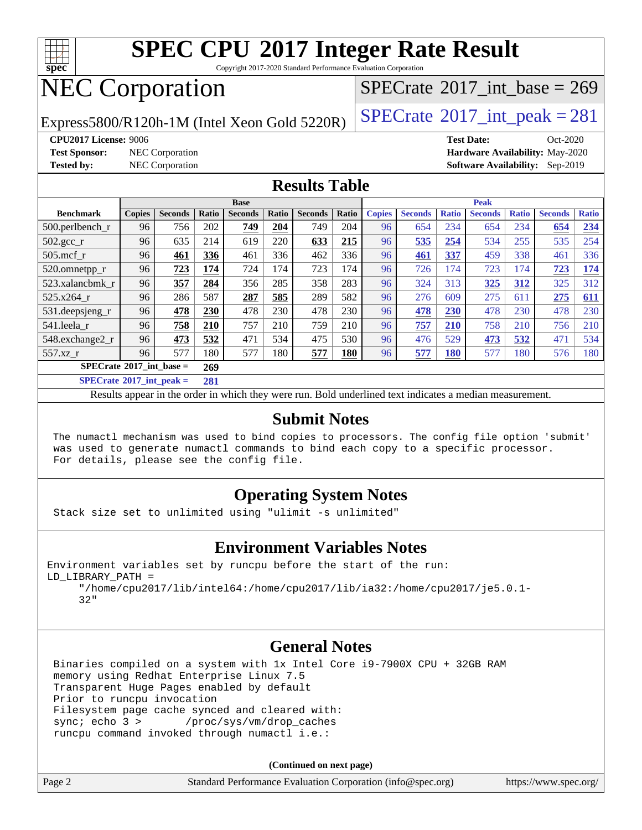

Copyright 2017-2020 Standard Performance Evaluation Corporation

# NEC Corporation

Express5800/R120h-1M (Intel Xeon Gold 5220R)  $\left|$  [SPECrate](http://www.spec.org/auto/cpu2017/Docs/result-fields.html#SPECrate2017intpeak)®[2017\\_int\\_peak = 2](http://www.spec.org/auto/cpu2017/Docs/result-fields.html#SPECrate2017intpeak)81

 $SPECTate@2017_int\_base = 269$ 

**[CPU2017 License:](http://www.spec.org/auto/cpu2017/Docs/result-fields.html#CPU2017License)** 9006 **[Test Date:](http://www.spec.org/auto/cpu2017/Docs/result-fields.html#TestDate)** Oct-2020

**[Test Sponsor:](http://www.spec.org/auto/cpu2017/Docs/result-fields.html#TestSponsor)** NEC Corporation **[Hardware Availability:](http://www.spec.org/auto/cpu2017/Docs/result-fields.html#HardwareAvailability)** May-2020 **[Tested by:](http://www.spec.org/auto/cpu2017/Docs/result-fields.html#Testedby)** NEC Corporation **[Software Availability:](http://www.spec.org/auto/cpu2017/Docs/result-fields.html#SoftwareAvailability)** Sep-2019

#### **[Results Table](http://www.spec.org/auto/cpu2017/Docs/result-fields.html#ResultsTable)**

|                                                 | <b>Base</b>   |                |       |                |       | <b>Peak</b>    |       |               |                |              |                |              |                |              |
|-------------------------------------------------|---------------|----------------|-------|----------------|-------|----------------|-------|---------------|----------------|--------------|----------------|--------------|----------------|--------------|
| <b>Benchmark</b>                                | <b>Copies</b> | <b>Seconds</b> | Ratio | <b>Seconds</b> | Ratio | <b>Seconds</b> | Ratio | <b>Copies</b> | <b>Seconds</b> | <b>Ratio</b> | <b>Seconds</b> | <b>Ratio</b> | <b>Seconds</b> | <b>Ratio</b> |
| $500.$ perlbench r                              | 96            | 756            | 202   | 749            | 204   | 749            | 204   | 96            | 654            | 234          | 654            | 234          | 654            | 234          |
| 502.gcc_r                                       | 96            | 635            | 214   | 619            | 220   | 633            | 215   | 96            | 535            | 254          | 534            | 255          | 535            | 254          |
| $505$ .mcf r                                    | 96            | 461            | 336   | 461            | 336   | 462            | 336   | 96            | 461            | 337          | 459            | 338          | 461            | 336          |
| 520.omnetpp_r                                   | 96            | 723            | 174   | 724            | 174   | 723            | 174   | 96            | 726            | 174          | 723            | 174          | 723            | 174          |
| 523.xalancbmk r                                 | 96            | 357            | 284   | 356            | 285   | 358            | 283   | 96            | 324            | 313          | 325            | 312          | 325            | 312          |
| 525.x264 r                                      | 96            | 286            | 587   | 287            | 585   | 289            | 582   | 96            | 276            | 609          | 275            | 611          | 275            | 611          |
| 531.deepsjeng_r                                 | 96            | 478            | 230   | 478            | 230   | 478            | 230   | 96            | 478            | 230          | 478            | 230          | 478            | 230          |
| 541.leela r                                     | 96            | 758            | 210   | 757            | 210   | 759            | 210   | 96            | 757            | 210          | 758            | 210          | 756            | 210          |
| 548.exchange2_r                                 | 96            | 473            | 532   | 471            | 534   | 475            | 530   | 96            | 476            | 529          | 473            | 532          | 471            | 534          |
| 557.xz r                                        | 96            | 577            | 180   | 577            | 180   | 577            | 180   | 96            | 577            | <b>180</b>   | 577            | 180          | 576            | 180          |
| $SPECrate^{\circledcirc}2017$ int base =<br>269 |               |                |       |                |       |                |       |               |                |              |                |              |                |              |
| $CDEQ = 4.6304E + 4 = 1$                        |               |                | $A^A$ |                |       |                |       |               |                |              |                |              |                |              |

**[SPECrate](http://www.spec.org/auto/cpu2017/Docs/result-fields.html#SPECrate2017intpeak)[2017\\_int\\_peak =](http://www.spec.org/auto/cpu2017/Docs/result-fields.html#SPECrate2017intpeak) 281**

Results appear in the [order in which they were run](http://www.spec.org/auto/cpu2017/Docs/result-fields.html#RunOrder). Bold underlined text [indicates a median measurement](http://www.spec.org/auto/cpu2017/Docs/result-fields.html#Median).

#### **[Submit Notes](http://www.spec.org/auto/cpu2017/Docs/result-fields.html#SubmitNotes)**

 The numactl mechanism was used to bind copies to processors. The config file option 'submit' was used to generate numactl commands to bind each copy to a specific processor. For details, please see the config file.

#### **[Operating System Notes](http://www.spec.org/auto/cpu2017/Docs/result-fields.html#OperatingSystemNotes)**

Stack size set to unlimited using "ulimit -s unlimited"

#### **[Environment Variables Notes](http://www.spec.org/auto/cpu2017/Docs/result-fields.html#EnvironmentVariablesNotes)**

Environment variables set by runcpu before the start of the run: LD\_LIBRARY\_PATH =

 "/home/cpu2017/lib/intel64:/home/cpu2017/lib/ia32:/home/cpu2017/je5.0.1- 32"

#### **[General Notes](http://www.spec.org/auto/cpu2017/Docs/result-fields.html#GeneralNotes)**

 Binaries compiled on a system with 1x Intel Core i9-7900X CPU + 32GB RAM memory using Redhat Enterprise Linux 7.5 Transparent Huge Pages enabled by default Prior to runcpu invocation Filesystem page cache synced and cleared with: sync; echo 3 > /proc/sys/vm/drop\_caches runcpu command invoked through numactl i.e.:

**(Continued on next page)**

|        | ( <del>- --------</del> -- - --- ------ <b>------</b> )     |                       |
|--------|-------------------------------------------------------------|-----------------------|
| Page 2 | Standard Performance Evaluation Corporation (info@spec.org) | https://www.spec.org/ |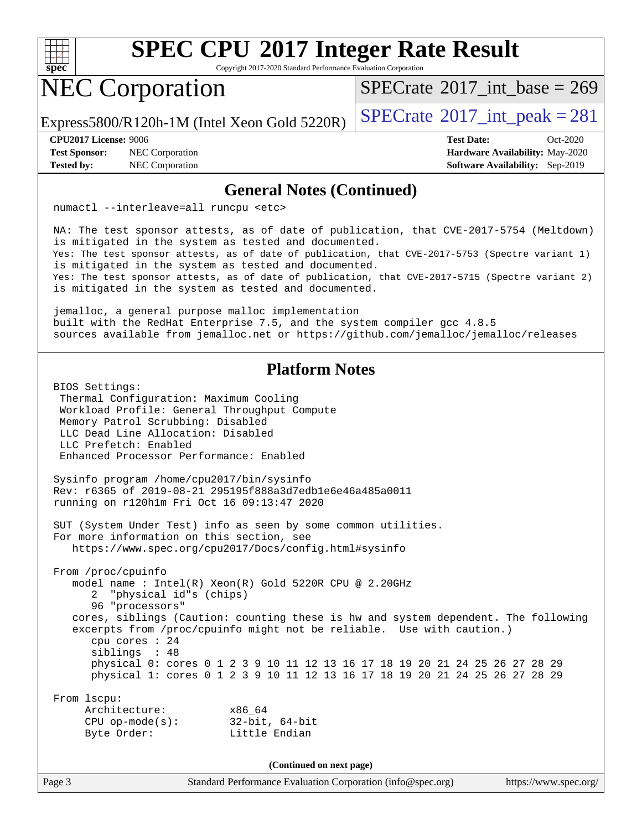

Copyright 2017-2020 Standard Performance Evaluation Corporation

## NEC Corporation

 $SPECTate@2017_int\_base = 269$ 

Express5800/R120h-1M (Intel Xeon Gold 5220R)  $\left|$  [SPECrate](http://www.spec.org/auto/cpu2017/Docs/result-fields.html#SPECrate2017intpeak)®[2017\\_int\\_peak = 2](http://www.spec.org/auto/cpu2017/Docs/result-fields.html#SPECrate2017intpeak)81

**[Test Sponsor:](http://www.spec.org/auto/cpu2017/Docs/result-fields.html#TestSponsor)** NEC Corporation **[Hardware Availability:](http://www.spec.org/auto/cpu2017/Docs/result-fields.html#HardwareAvailability)** May-2020

**[CPU2017 License:](http://www.spec.org/auto/cpu2017/Docs/result-fields.html#CPU2017License)** 9006 **[Test Date:](http://www.spec.org/auto/cpu2017/Docs/result-fields.html#TestDate)** Oct-2020 **[Tested by:](http://www.spec.org/auto/cpu2017/Docs/result-fields.html#Testedby)** NEC Corporation **[Software Availability:](http://www.spec.org/auto/cpu2017/Docs/result-fields.html#SoftwareAvailability)** Sep-2019

#### **[General Notes \(Continued\)](http://www.spec.org/auto/cpu2017/Docs/result-fields.html#GeneralNotes)**

numactl --interleave=all runcpu <etc>

 NA: The test sponsor attests, as of date of publication, that CVE-2017-5754 (Meltdown) is mitigated in the system as tested and documented. Yes: The test sponsor attests, as of date of publication, that CVE-2017-5753 (Spectre variant 1) is mitigated in the system as tested and documented. Yes: The test sponsor attests, as of date of publication, that CVE-2017-5715 (Spectre variant 2) is mitigated in the system as tested and documented.

 jemalloc, a general purpose malloc implementation built with the RedHat Enterprise 7.5, and the system compiler gcc 4.8.5 sources available from jemalloc.net or<https://github.com/jemalloc/jemalloc/releases>

#### **[Platform Notes](http://www.spec.org/auto/cpu2017/Docs/result-fields.html#PlatformNotes)**

 BIOS Settings: Thermal Configuration: Maximum Cooling Workload Profile: General Throughput Compute Memory Patrol Scrubbing: Disabled LLC Dead Line Allocation: Disabled LLC Prefetch: Enabled Enhanced Processor Performance: Enabled Sysinfo program /home/cpu2017/bin/sysinfo Rev: r6365 of 2019-08-21 295195f888a3d7edb1e6e46a485a0011 running on r120h1m Fri Oct 16 09:13:47 2020 SUT (System Under Test) info as seen by some common utilities. For more information on this section, see <https://www.spec.org/cpu2017/Docs/config.html#sysinfo> From /proc/cpuinfo model name : Intel(R) Xeon(R) Gold 5220R CPU @ 2.20GHz 2 "physical id"s (chips) 96 "processors" cores, siblings (Caution: counting these is hw and system dependent. The following excerpts from /proc/cpuinfo might not be reliable. Use with caution.) cpu cores : 24 siblings : 48 physical 0: cores 0 1 2 3 9 10 11 12 13 16 17 18 19 20 21 24 25 26 27 28 29 physical 1: cores 0 1 2 3 9 10 11 12 13 16 17 18 19 20 21 24 25 26 27 28 29 From lscpu: Architecture: x86\_64 CPU op-mode(s): 32-bit, 64-bit Byte Order: Little Endian **(Continued on next page)**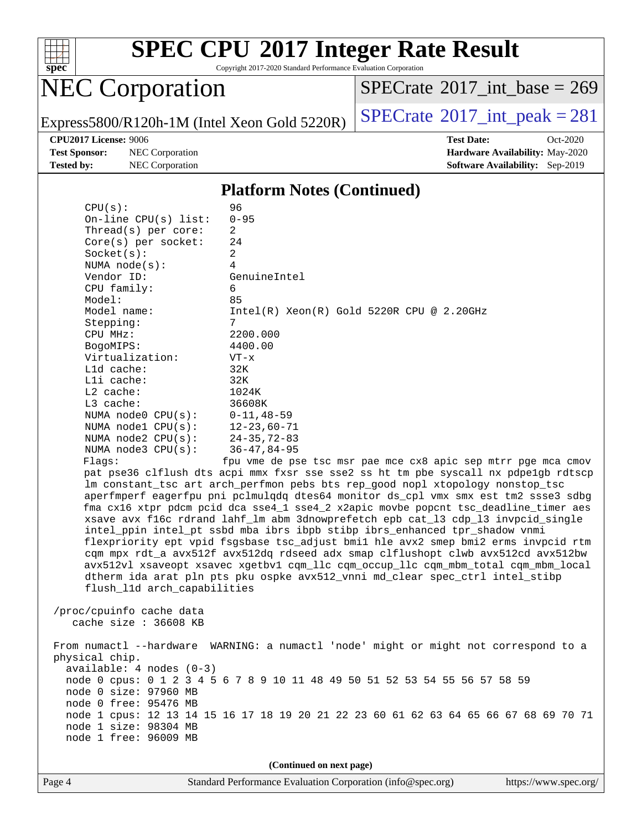

Copyright 2017-2020 Standard Performance Evaluation Corporation

# NEC Corporation

 $SPECrate$ <sup>®</sup>[2017\\_int\\_base =](http://www.spec.org/auto/cpu2017/Docs/result-fields.html#SPECrate2017intbase) 269

Express5800/R120h-1M (Intel Xeon Gold 5220R)  $\left|$  [SPECrate](http://www.spec.org/auto/cpu2017/Docs/result-fields.html#SPECrate2017intpeak)®[2017\\_int\\_peak = 2](http://www.spec.org/auto/cpu2017/Docs/result-fields.html#SPECrate2017intpeak)81

**[Test Sponsor:](http://www.spec.org/auto/cpu2017/Docs/result-fields.html#TestSponsor)** NEC Corporation **[Hardware Availability:](http://www.spec.org/auto/cpu2017/Docs/result-fields.html#HardwareAvailability)** May-2020

**[CPU2017 License:](http://www.spec.org/auto/cpu2017/Docs/result-fields.html#CPU2017License)** 9006 **[Test Date:](http://www.spec.org/auto/cpu2017/Docs/result-fields.html#TestDate)** Oct-2020 **[Tested by:](http://www.spec.org/auto/cpu2017/Docs/result-fields.html#Testedby)** NEC Corporation **[Software Availability:](http://www.spec.org/auto/cpu2017/Docs/result-fields.html#SoftwareAvailability)** Sep-2019

#### **[Platform Notes \(Continued\)](http://www.spec.org/auto/cpu2017/Docs/result-fields.html#PlatformNotes)**

| CPU(s):                                        | 96                                                                                   |  |  |  |  |  |  |
|------------------------------------------------|--------------------------------------------------------------------------------------|--|--|--|--|--|--|
| $On$ -line CPU $(s)$ list:                     | $0 - 95$                                                                             |  |  |  |  |  |  |
| Thread( $s$ ) per core:                        | 2                                                                                    |  |  |  |  |  |  |
| $Core(s)$ per socket:                          | 24                                                                                   |  |  |  |  |  |  |
| Socket(s):                                     | $\overline{a}$                                                                       |  |  |  |  |  |  |
| NUMA $node(s)$ :                               | 4                                                                                    |  |  |  |  |  |  |
| Vendor ID:                                     | GenuineIntel                                                                         |  |  |  |  |  |  |
| CPU family:                                    | 6                                                                                    |  |  |  |  |  |  |
| Model:                                         | 85                                                                                   |  |  |  |  |  |  |
| Model name:                                    | $Intel(R) Xeon(R) Gold 5220R CPU @ 2.20GHz$                                          |  |  |  |  |  |  |
| Stepping:                                      | 7                                                                                    |  |  |  |  |  |  |
| CPU MHz:                                       | 2200.000                                                                             |  |  |  |  |  |  |
| BogoMIPS:                                      | 4400.00                                                                              |  |  |  |  |  |  |
| Virtualization:                                | $VT - x$                                                                             |  |  |  |  |  |  |
| $L1d$ cache:                                   | 32K                                                                                  |  |  |  |  |  |  |
| Lli cache:                                     | 32K                                                                                  |  |  |  |  |  |  |
| $L2$ cache:                                    | 1024K                                                                                |  |  |  |  |  |  |
| $L3$ cache:                                    | 36608K                                                                               |  |  |  |  |  |  |
| NUMA $node0$ $CPU(s)$ :                        | $0 - 11, 48 - 59$                                                                    |  |  |  |  |  |  |
| NUMA nodel $CPU(s):$                           | $12 - 23,60 - 71$                                                                    |  |  |  |  |  |  |
| NUMA $node2$ $CPU(s)$ :                        | $24 - 35, 72 - 83$                                                                   |  |  |  |  |  |  |
| NUMA node3 CPU(s):                             | $36 - 47, 84 - 95$                                                                   |  |  |  |  |  |  |
| Flags:                                         | fpu vme de pse tsc msr pae mce cx8 apic sep mtrr pge mca cmov                        |  |  |  |  |  |  |
|                                                | pat pse36 clflush dts acpi mmx fxsr sse sse2 ss ht tm pbe syscall nx pdpelgb rdtscp  |  |  |  |  |  |  |
|                                                | lm constant_tsc art arch_perfmon pebs bts rep_good nopl xtopology nonstop_tsc        |  |  |  |  |  |  |
|                                                | aperfmperf eagerfpu pni pclmulqdq dtes64 monitor ds_cpl vmx smx est tm2 ssse3 sdbg   |  |  |  |  |  |  |
|                                                | fma cx16 xtpr pdcm pcid dca sse4_1 sse4_2 x2apic movbe popcnt tsc_deadline_timer aes |  |  |  |  |  |  |
|                                                | xsave avx f16c rdrand lahf_lm abm 3dnowprefetch epb cat_13 cdp_13 invpcid_single     |  |  |  |  |  |  |
|                                                | intel_ppin intel_pt ssbd mba ibrs ibpb stibp ibrs_enhanced tpr_shadow vnmi           |  |  |  |  |  |  |
|                                                | flexpriority ept vpid fsgsbase tsc_adjust bmil hle avx2 smep bmi2 erms invpcid rtm   |  |  |  |  |  |  |
|                                                | cqm mpx rdt_a avx512f avx512dq rdseed adx smap clflushopt clwb avx512cd avx512bw     |  |  |  |  |  |  |
|                                                | avx512vl xsaveopt xsavec xgetbvl cqm_llc cqm_occup_llc cqm_mbm_total cqm_mbm_local   |  |  |  |  |  |  |
|                                                | dtherm ida arat pln pts pku ospke avx512_vnni md_clear spec_ctrl intel_stibp         |  |  |  |  |  |  |
| flush_11d arch_capabilities                    |                                                                                      |  |  |  |  |  |  |
|                                                |                                                                                      |  |  |  |  |  |  |
| /proc/cpuinfo cache data                       |                                                                                      |  |  |  |  |  |  |
| cache size : 36608 KB                          |                                                                                      |  |  |  |  |  |  |
|                                                |                                                                                      |  |  |  |  |  |  |
|                                                | From numactl --hardware WARNING: a numactl 'node' might or might not correspond to a |  |  |  |  |  |  |
| physical chip.                                 |                                                                                      |  |  |  |  |  |  |
| $available: 4 nodes (0-3)$                     |                                                                                      |  |  |  |  |  |  |
|                                                | node 0 cpus: 0 1 2 3 4 5 6 7 8 9 10 11 48 49 50 51 52 53 54 55 56 57 58 59           |  |  |  |  |  |  |
| node 0 size: 97960 MB                          |                                                                                      |  |  |  |  |  |  |
| node 0 free: 95476 MB                          |                                                                                      |  |  |  |  |  |  |
|                                                | node 1 cpus: 12 13 14 15 16 17 18 19 20 21 22 23 60 61 62 63 64 65 66 67 68 69 70 71 |  |  |  |  |  |  |
| node 1 size: 98304 MB<br>node 1 free: 96009 MB |                                                                                      |  |  |  |  |  |  |
|                                                |                                                                                      |  |  |  |  |  |  |
|                                                |                                                                                      |  |  |  |  |  |  |
| (Continued on next page)                       |                                                                                      |  |  |  |  |  |  |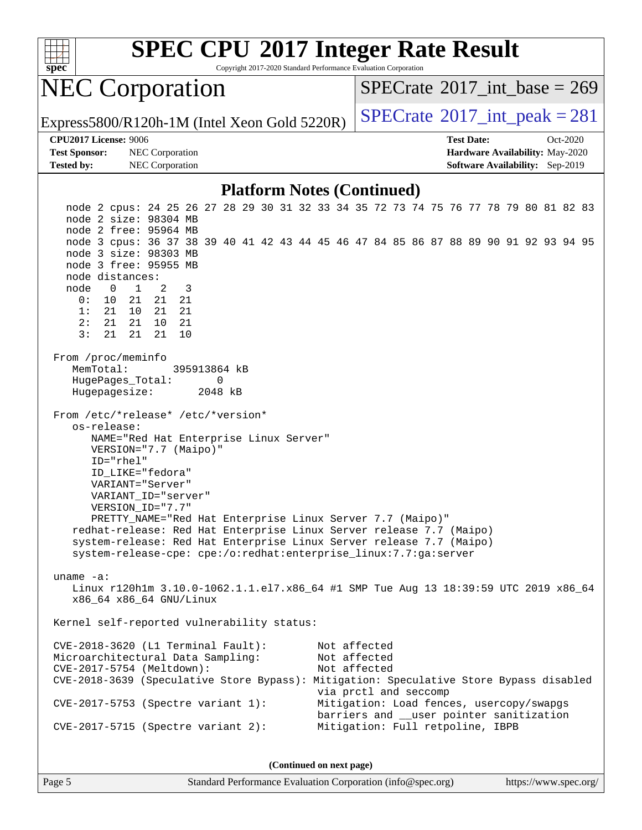

Copyright 2017-2020 Standard Performance Evaluation Corporation

## NEC Corporation

 $SPECTate@2017_int\_base = 269$ 

Express5800/R120h-1M (Intel Xeon Gold 5220R)  $\big|$  [SPECrate](http://www.spec.org/auto/cpu2017/Docs/result-fields.html#SPECrate2017intpeak)®[2017\\_int\\_peak = 2](http://www.spec.org/auto/cpu2017/Docs/result-fields.html#SPECrate2017intpeak)81

#### **[CPU2017 License:](http://www.spec.org/auto/cpu2017/Docs/result-fields.html#CPU2017License)** 9006 **[Test Date:](http://www.spec.org/auto/cpu2017/Docs/result-fields.html#TestDate)** Oct-2020

**[Test Sponsor:](http://www.spec.org/auto/cpu2017/Docs/result-fields.html#TestSponsor)** NEC Corporation **[Hardware Availability:](http://www.spec.org/auto/cpu2017/Docs/result-fields.html#HardwareAvailability)** May-2020 **[Tested by:](http://www.spec.org/auto/cpu2017/Docs/result-fields.html#Testedby)** NEC Corporation **[Software Availability:](http://www.spec.org/auto/cpu2017/Docs/result-fields.html#SoftwareAvailability)** Sep-2019

#### **[Platform Notes \(Continued\)](http://www.spec.org/auto/cpu2017/Docs/result-fields.html#PlatformNotes)**

 node 2 cpus: 24 25 26 27 28 29 30 31 32 33 34 35 72 73 74 75 76 77 78 79 80 81 82 83 node 2 size: 98304 MB node 2 free: 95964 MB node 3 cpus: 36 37 38 39 40 41 42 43 44 45 46 47 84 85 86 87 88 89 90 91 92 93 94 95 node 3 size: 98303 MB node 3 free: 95955 MB node distances: node 0 1 2 3 0: 10 21 21 21 1: 21 10 21 21 2: 21 21 10 21 3: 21 21 21 10 From /proc/meminfo MemTotal: 395913864 kB HugePages\_Total: 0 Hugepagesize: 2048 kB From /etc/\*release\* /etc/\*version\* os-release: NAME="Red Hat Enterprise Linux Server" VERSION="7.7 (Maipo)" ID="rhel" ID\_LIKE="fedora" VARIANT="Server" VARIANT\_ID="server" VERSION\_ID="7.7" PRETTY\_NAME="Red Hat Enterprise Linux Server 7.7 (Maipo)" redhat-release: Red Hat Enterprise Linux Server release 7.7 (Maipo) system-release: Red Hat Enterprise Linux Server release 7.7 (Maipo) system-release-cpe: cpe:/o:redhat:enterprise\_linux:7.7:ga:server uname -a: Linux r120h1m 3.10.0-1062.1.1.el7.x86\_64 #1 SMP Tue Aug 13 18:39:59 UTC 2019 x86\_64 x86\_64 x86\_64 GNU/Linux Kernel self-reported vulnerability status: CVE-2018-3620 (L1 Terminal Fault): Not affected Microarchitectural Data Sampling: Not affected CVE-2017-5754 (Meltdown): Not affected CVE-2018-3639 (Speculative Store Bypass): Mitigation: Speculative Store Bypass disabled via prctl and seccomp CVE-2017-5753 (Spectre variant 1): Mitigation: Load fences, usercopy/swapgs barriers and \_\_user pointer sanitization CVE-2017-5715 (Spectre variant 2): Mitigation: Full retpoline, IBPB

**(Continued on next page)**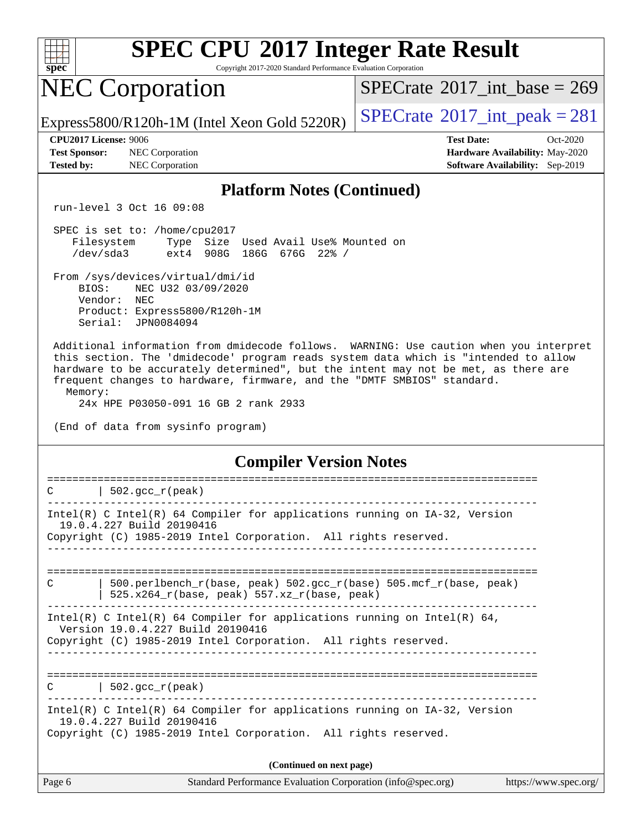| s<br>æ<br>0<br>Ľ |  |  |  |  |  |
|------------------|--|--|--|--|--|

Copyright 2017-2020 Standard Performance Evaluation Corporation

# NEC Corporation

 $SPECTate@2017_int\_base = 269$ 

Express5800/R120h-1M (Intel Xeon Gold 5220R)  $\left|$  [SPECrate](http://www.spec.org/auto/cpu2017/Docs/result-fields.html#SPECrate2017intpeak)®[2017\\_int\\_peak = 2](http://www.spec.org/auto/cpu2017/Docs/result-fields.html#SPECrate2017intpeak)81

**[Test Sponsor:](http://www.spec.org/auto/cpu2017/Docs/result-fields.html#TestSponsor)** NEC Corporation **[Hardware Availability:](http://www.spec.org/auto/cpu2017/Docs/result-fields.html#HardwareAvailability)** May-2020 **[Tested by:](http://www.spec.org/auto/cpu2017/Docs/result-fields.html#Testedby)** NEC Corporation **[Software Availability:](http://www.spec.org/auto/cpu2017/Docs/result-fields.html#SoftwareAvailability)** Sep-2019

**[CPU2017 License:](http://www.spec.org/auto/cpu2017/Docs/result-fields.html#CPU2017License)** 9006 **[Test Date:](http://www.spec.org/auto/cpu2017/Docs/result-fields.html#TestDate)** Oct-2020

#### **[Platform Notes \(Continued\)](http://www.spec.org/auto/cpu2017/Docs/result-fields.html#PlatformNotes)**

run-level 3 Oct 16 09:08

 SPEC is set to: /home/cpu2017 Filesystem Type Size Used Avail Use% Mounted on /dev/sda3 ext4 908G 186G 676G 22% /

 From /sys/devices/virtual/dmi/id BIOS: NEC U32 03/09/2020 Vendor: NEC Product: Express5800/R120h-1M Serial: JPN0084094

 Additional information from dmidecode follows. WARNING: Use caution when you interpret this section. The 'dmidecode' program reads system data which is "intended to allow hardware to be accurately determined", but the intent may not be met, as there are frequent changes to hardware, firmware, and the "DMTF SMBIOS" standard. Memory:

24x HPE P03050-091 16 GB 2 rank 2933

(End of data from sysinfo program)

**[Compiler Version Notes](http://www.spec.org/auto/cpu2017/Docs/result-fields.html#CompilerVersionNotes)**

| Page 6 | Standard Performance Evaluation Corporation (info@spec.org)                                                                                                                      | https://www.spec.org/ |
|--------|----------------------------------------------------------------------------------------------------------------------------------------------------------------------------------|-----------------------|
|        | (Continued on next page)                                                                                                                                                         |                       |
|        | Intel(R) C Intel(R) 64 Compiler for applications running on $IA-32$ , Version<br>19.0.4.227 Build 20190416<br>Copyright (C) 1985-2019 Intel Corporation. All rights reserved.    |                       |
|        | $C$   502.gcc_r(peak)                                                                                                                                                            |                       |
|        | Intel(R) C Intel(R) 64 Compiler for applications running on Intel(R) 64,<br>Version 19.0.4.227 Build 20190416<br>Copyright (C) 1985-2019 Intel Corporation. All rights reserved. |                       |
| C      | 500.perlbench r(base, peak) 502.gcc r(base) 505.mcf r(base, peak)<br>525.x264_r(base, peak) 557.xz_r(base, peak)                                                                 |                       |
|        |                                                                                                                                                                                  |                       |
|        | Intel(R) C Intel(R) 64 Compiler for applications running on $IA-32$ , Version<br>19.0.4.227 Build 20190416<br>Copyright (C) 1985-2019 Intel Corporation. All rights reserved.    |                       |
| C      | $\vert$ 502.gcc_r(peak)                                                                                                                                                          |                       |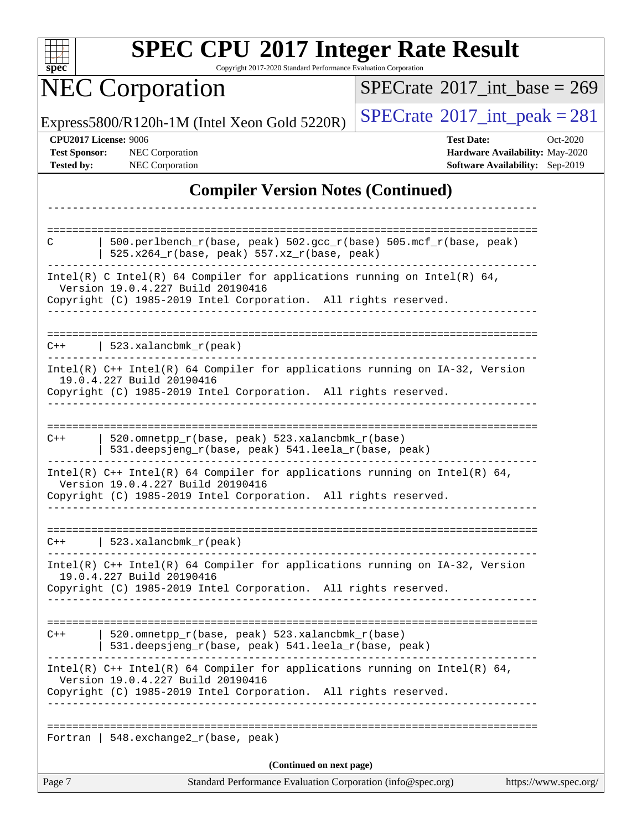| S<br>e<br>U<br>U |  |  |  |  |
|------------------|--|--|--|--|

Copyright 2017-2020 Standard Performance Evaluation Corporation

# **NEC Corporation**

 $SPECrate$ <sup>®</sup>[2017\\_int\\_base =](http://www.spec.org/auto/cpu2017/Docs/result-fields.html#SPECrate2017intbase) 269

Express5800/R120h-1M (Intel Xeon Gold 5220R)  $\left|$  [SPECrate](http://www.spec.org/auto/cpu2017/Docs/result-fields.html#SPECrate2017intpeak)<sup>®</sup>[2017\\_int\\_peak = 2](http://www.spec.org/auto/cpu2017/Docs/result-fields.html#SPECrate2017intpeak)81

**[CPU2017 License:](http://www.spec.org/auto/cpu2017/Docs/result-fields.html#CPU2017License)** 9006 **[Test Date:](http://www.spec.org/auto/cpu2017/Docs/result-fields.html#TestDate)** Oct-2020 **[Test Sponsor:](http://www.spec.org/auto/cpu2017/Docs/result-fields.html#TestSponsor)** NEC Corporation **[Hardware Availability:](http://www.spec.org/auto/cpu2017/Docs/result-fields.html#HardwareAvailability)** May-2020 **[Tested by:](http://www.spec.org/auto/cpu2017/Docs/result-fields.html#Testedby)** NEC Corporation **[Software Availability:](http://www.spec.org/auto/cpu2017/Docs/result-fields.html#SoftwareAvailability)** Sep-2019

#### **[Compiler Version Notes \(Continued\)](http://www.spec.org/auto/cpu2017/Docs/result-fields.html#CompilerVersionNotes)**

| 520.omnetpp_r(base, peak) 523.xalancbmk_r(base)<br>531.deepsjeng_r(base, peak) 541.leela_r(base, peak)<br>Intel(R) $C++$ Intel(R) 64 Compiler for applications running on Intel(R) 64,<br>Version 19.0.4.227 Build 20190416<br>Copyright (C) 1985-2019 Intel Corporation. All rights reserved.<br>  $548.$ exchange $2_r$ (base, peak)<br>(Continued on next page) |
|--------------------------------------------------------------------------------------------------------------------------------------------------------------------------------------------------------------------------------------------------------------------------------------------------------------------------------------------------------------------|
|                                                                                                                                                                                                                                                                                                                                                                    |
|                                                                                                                                                                                                                                                                                                                                                                    |
|                                                                                                                                                                                                                                                                                                                                                                    |
|                                                                                                                                                                                                                                                                                                                                                                    |
|                                                                                                                                                                                                                                                                                                                                                                    |
| $Intel(R)$ C++ Intel(R) 64 Compiler for applications running on IA-32, Version<br>19.0.4.227 Build 20190416<br>Copyright (C) 1985-2019 Intel Corporation. All rights reserved.                                                                                                                                                                                     |
| $C++$   523.xalancbmk_r(peak)                                                                                                                                                                                                                                                                                                                                      |
| Intel(R) $C++$ Intel(R) 64 Compiler for applications running on Intel(R) 64,<br>Version 19.0.4.227 Build 20190416<br>Copyright (C) 1985-2019 Intel Corporation. All rights reserved.                                                                                                                                                                               |
| 520.omnetpp_r(base, peak) 523.xalancbmk_r(base)<br>531.deepsjeng_r(base, peak) 541.leela_r(base, peak)                                                                                                                                                                                                                                                             |
| 19.0.4.227 Build 20190416<br>Copyright (C) 1985-2019 Intel Corporation. All rights reserved.<br>-------------                                                                                                                                                                                                                                                      |
| Intel(R) C++ Intel(R) 64 Compiler for applications running on IA-32, Version                                                                                                                                                                                                                                                                                       |
| $C++$   523.xalancbmk_r(peak)                                                                                                                                                                                                                                                                                                                                      |
| Intel(R) C Intel(R) 64 Compiler for applications running on Intel(R) 64,<br>Version 19.0.4.227 Build 20190416<br>Copyright (C) 1985-2019 Intel Corporation. All rights reserved.<br>ب کا کا کا کا کا کا                                                                                                                                                            |
| $525.x264_r(base, peak) 557.xz_r(base, peak)$                                                                                                                                                                                                                                                                                                                      |
| 500.perlbench_r(base, peak) 502.gcc_r(base) 505.mcf_r(base, peak)                                                                                                                                                                                                                                                                                                  |
|                                                                                                                                                                                                                                                                                                                                                                    |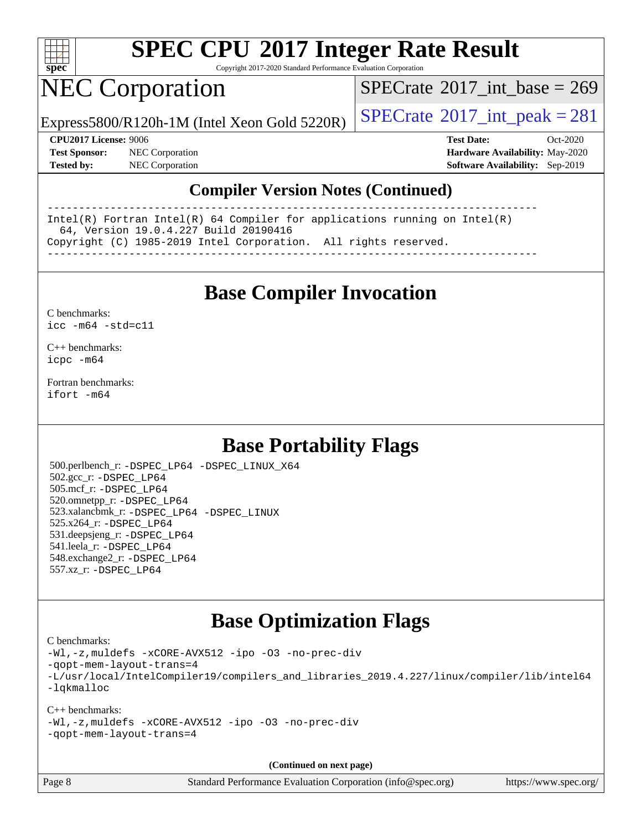

Copyright 2017-2020 Standard Performance Evaluation Corporation

## NEC Corporation

 $SPECTate@2017_int\_base = 269$ 

Express5800/R120h-1M (Intel Xeon Gold 5220R)  $\big|$  [SPECrate](http://www.spec.org/auto/cpu2017/Docs/result-fields.html#SPECrate2017intpeak)®[2017\\_int\\_peak = 2](http://www.spec.org/auto/cpu2017/Docs/result-fields.html#SPECrate2017intpeak)81

**[CPU2017 License:](http://www.spec.org/auto/cpu2017/Docs/result-fields.html#CPU2017License)** 9006 **[Test Date:](http://www.spec.org/auto/cpu2017/Docs/result-fields.html#TestDate)** Oct-2020 **[Test Sponsor:](http://www.spec.org/auto/cpu2017/Docs/result-fields.html#TestSponsor)** NEC Corporation **[Hardware Availability:](http://www.spec.org/auto/cpu2017/Docs/result-fields.html#HardwareAvailability)** May-2020 **[Tested by:](http://www.spec.org/auto/cpu2017/Docs/result-fields.html#Testedby)** NEC Corporation **[Software Availability:](http://www.spec.org/auto/cpu2017/Docs/result-fields.html#SoftwareAvailability)** Sep-2019

#### **[Compiler Version Notes \(Continued\)](http://www.spec.org/auto/cpu2017/Docs/result-fields.html#CompilerVersionNotes)**

------------------------------------------------------------------------------ Intel(R) Fortran Intel(R) 64 Compiler for applications running on Intel(R) 64, Version 19.0.4.227 Build 20190416 Copyright (C) 1985-2019 Intel Corporation. All rights reserved. ------------------------------------------------------------------------------

**[Base Compiler Invocation](http://www.spec.org/auto/cpu2017/Docs/result-fields.html#BaseCompilerInvocation)**

[C benchmarks](http://www.spec.org/auto/cpu2017/Docs/result-fields.html#Cbenchmarks): [icc -m64 -std=c11](http://www.spec.org/cpu2017/results/res2020q4/cpu2017-20201026-24264.flags.html#user_CCbase_intel_icc_64bit_c11_33ee0cdaae7deeeab2a9725423ba97205ce30f63b9926c2519791662299b76a0318f32ddfffdc46587804de3178b4f9328c46fa7c2b0cd779d7a61945c91cd35)

[C++ benchmarks:](http://www.spec.org/auto/cpu2017/Docs/result-fields.html#CXXbenchmarks) [icpc -m64](http://www.spec.org/cpu2017/results/res2020q4/cpu2017-20201026-24264.flags.html#user_CXXbase_intel_icpc_64bit_4ecb2543ae3f1412ef961e0650ca070fec7b7afdcd6ed48761b84423119d1bf6bdf5cad15b44d48e7256388bc77273b966e5eb805aefd121eb22e9299b2ec9d9)

[Fortran benchmarks](http://www.spec.org/auto/cpu2017/Docs/result-fields.html#Fortranbenchmarks): [ifort -m64](http://www.spec.org/cpu2017/results/res2020q4/cpu2017-20201026-24264.flags.html#user_FCbase_intel_ifort_64bit_24f2bb282fbaeffd6157abe4f878425411749daecae9a33200eee2bee2fe76f3b89351d69a8130dd5949958ce389cf37ff59a95e7a40d588e8d3a57e0c3fd751)

#### **[Base Portability Flags](http://www.spec.org/auto/cpu2017/Docs/result-fields.html#BasePortabilityFlags)**

 500.perlbench\_r: [-DSPEC\\_LP64](http://www.spec.org/cpu2017/results/res2020q4/cpu2017-20201026-24264.flags.html#b500.perlbench_r_basePORTABILITY_DSPEC_LP64) [-DSPEC\\_LINUX\\_X64](http://www.spec.org/cpu2017/results/res2020q4/cpu2017-20201026-24264.flags.html#b500.perlbench_r_baseCPORTABILITY_DSPEC_LINUX_X64) 502.gcc\_r: [-DSPEC\\_LP64](http://www.spec.org/cpu2017/results/res2020q4/cpu2017-20201026-24264.flags.html#suite_basePORTABILITY502_gcc_r_DSPEC_LP64) 505.mcf\_r: [-DSPEC\\_LP64](http://www.spec.org/cpu2017/results/res2020q4/cpu2017-20201026-24264.flags.html#suite_basePORTABILITY505_mcf_r_DSPEC_LP64) 520.omnetpp\_r: [-DSPEC\\_LP64](http://www.spec.org/cpu2017/results/res2020q4/cpu2017-20201026-24264.flags.html#suite_basePORTABILITY520_omnetpp_r_DSPEC_LP64) 523.xalancbmk\_r: [-DSPEC\\_LP64](http://www.spec.org/cpu2017/results/res2020q4/cpu2017-20201026-24264.flags.html#suite_basePORTABILITY523_xalancbmk_r_DSPEC_LP64) [-DSPEC\\_LINUX](http://www.spec.org/cpu2017/results/res2020q4/cpu2017-20201026-24264.flags.html#b523.xalancbmk_r_baseCXXPORTABILITY_DSPEC_LINUX) 525.x264\_r: [-DSPEC\\_LP64](http://www.spec.org/cpu2017/results/res2020q4/cpu2017-20201026-24264.flags.html#suite_basePORTABILITY525_x264_r_DSPEC_LP64) 531.deepsjeng\_r: [-DSPEC\\_LP64](http://www.spec.org/cpu2017/results/res2020q4/cpu2017-20201026-24264.flags.html#suite_basePORTABILITY531_deepsjeng_r_DSPEC_LP64) 541.leela\_r: [-DSPEC\\_LP64](http://www.spec.org/cpu2017/results/res2020q4/cpu2017-20201026-24264.flags.html#suite_basePORTABILITY541_leela_r_DSPEC_LP64) 548.exchange2\_r: [-DSPEC\\_LP64](http://www.spec.org/cpu2017/results/res2020q4/cpu2017-20201026-24264.flags.html#suite_basePORTABILITY548_exchange2_r_DSPEC_LP64) 557.xz\_r: [-DSPEC\\_LP64](http://www.spec.org/cpu2017/results/res2020q4/cpu2017-20201026-24264.flags.html#suite_basePORTABILITY557_xz_r_DSPEC_LP64)

#### **[Base Optimization Flags](http://www.spec.org/auto/cpu2017/Docs/result-fields.html#BaseOptimizationFlags)**

[C benchmarks](http://www.spec.org/auto/cpu2017/Docs/result-fields.html#Cbenchmarks):

[-Wl,-z,muldefs](http://www.spec.org/cpu2017/results/res2020q4/cpu2017-20201026-24264.flags.html#user_CCbase_link_force_multiple1_b4cbdb97b34bdee9ceefcfe54f4c8ea74255f0b02a4b23e853cdb0e18eb4525ac79b5a88067c842dd0ee6996c24547a27a4b99331201badda8798ef8a743f577) [-xCORE-AVX512](http://www.spec.org/cpu2017/results/res2020q4/cpu2017-20201026-24264.flags.html#user_CCbase_f-xCORE-AVX512) [-ipo](http://www.spec.org/cpu2017/results/res2020q4/cpu2017-20201026-24264.flags.html#user_CCbase_f-ipo) [-O3](http://www.spec.org/cpu2017/results/res2020q4/cpu2017-20201026-24264.flags.html#user_CCbase_f-O3) [-no-prec-div](http://www.spec.org/cpu2017/results/res2020q4/cpu2017-20201026-24264.flags.html#user_CCbase_f-no-prec-div) [-qopt-mem-layout-trans=4](http://www.spec.org/cpu2017/results/res2020q4/cpu2017-20201026-24264.flags.html#user_CCbase_f-qopt-mem-layout-trans_fa39e755916c150a61361b7846f310bcdf6f04e385ef281cadf3647acec3f0ae266d1a1d22d972a7087a248fd4e6ca390a3634700869573d231a252c784941a8) [-L/usr/local/IntelCompiler19/compilers\\_and\\_libraries\\_2019.4.227/linux/compiler/lib/intel64](http://www.spec.org/cpu2017/results/res2020q4/cpu2017-20201026-24264.flags.html#user_CCbase_qkmalloc_link_0ffe0cb02c68ef1b443a077c7888c10c67ca0d1dd7138472156f06a085bbad385f78d49618ad55dca9db3b1608e84afc2f69b4003b1d1ca498a9fc1462ccefda) [-lqkmalloc](http://www.spec.org/cpu2017/results/res2020q4/cpu2017-20201026-24264.flags.html#user_CCbase_qkmalloc_link_lib_79a818439969f771c6bc311cfd333c00fc099dad35c030f5aab9dda831713d2015205805422f83de8875488a2991c0a156aaa600e1f9138f8fc37004abc96dc5)

[C++ benchmarks](http://www.spec.org/auto/cpu2017/Docs/result-fields.html#CXXbenchmarks): [-Wl,-z,muldefs](http://www.spec.org/cpu2017/results/res2020q4/cpu2017-20201026-24264.flags.html#user_CXXbase_link_force_multiple1_b4cbdb97b34bdee9ceefcfe54f4c8ea74255f0b02a4b23e853cdb0e18eb4525ac79b5a88067c842dd0ee6996c24547a27a4b99331201badda8798ef8a743f577) [-xCORE-AVX512](http://www.spec.org/cpu2017/results/res2020q4/cpu2017-20201026-24264.flags.html#user_CXXbase_f-xCORE-AVX512) [-ipo](http://www.spec.org/cpu2017/results/res2020q4/cpu2017-20201026-24264.flags.html#user_CXXbase_f-ipo) [-O3](http://www.spec.org/cpu2017/results/res2020q4/cpu2017-20201026-24264.flags.html#user_CXXbase_f-O3) [-no-prec-div](http://www.spec.org/cpu2017/results/res2020q4/cpu2017-20201026-24264.flags.html#user_CXXbase_f-no-prec-div) [-qopt-mem-layout-trans=4](http://www.spec.org/cpu2017/results/res2020q4/cpu2017-20201026-24264.flags.html#user_CXXbase_f-qopt-mem-layout-trans_fa39e755916c150a61361b7846f310bcdf6f04e385ef281cadf3647acec3f0ae266d1a1d22d972a7087a248fd4e6ca390a3634700869573d231a252c784941a8)

**(Continued on next page)**

Page 8 Standard Performance Evaluation Corporation [\(info@spec.org\)](mailto:info@spec.org) <https://www.spec.org/>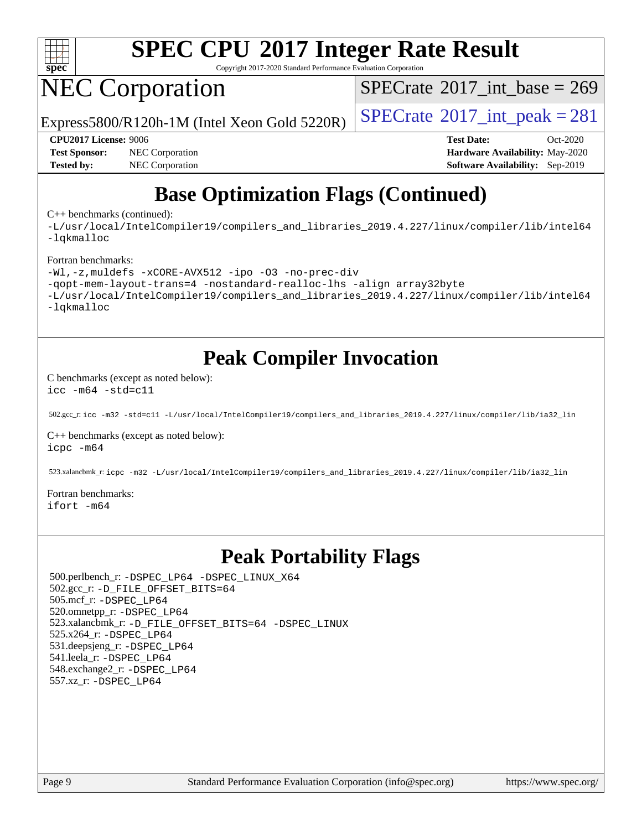

Copyright 2017-2020 Standard Performance Evaluation Corporation

# NEC Corporation

 $SPECTate@2017_int\_base = 269$ 

Express5800/R120h-1M (Intel Xeon Gold 5220R)  $\big|$  [SPECrate](http://www.spec.org/auto/cpu2017/Docs/result-fields.html#SPECrate2017intpeak)®[2017\\_int\\_peak = 2](http://www.spec.org/auto/cpu2017/Docs/result-fields.html#SPECrate2017intpeak)81

**[Test Sponsor:](http://www.spec.org/auto/cpu2017/Docs/result-fields.html#TestSponsor)** NEC Corporation **[Hardware Availability:](http://www.spec.org/auto/cpu2017/Docs/result-fields.html#HardwareAvailability)** May-2020 **[Tested by:](http://www.spec.org/auto/cpu2017/Docs/result-fields.html#Testedby)** NEC Corporation **[Software Availability:](http://www.spec.org/auto/cpu2017/Docs/result-fields.html#SoftwareAvailability)** Sep-2019

**[CPU2017 License:](http://www.spec.org/auto/cpu2017/Docs/result-fields.html#CPU2017License)** 9006 **[Test Date:](http://www.spec.org/auto/cpu2017/Docs/result-fields.html#TestDate)** Oct-2020

### **[Base Optimization Flags \(Continued\)](http://www.spec.org/auto/cpu2017/Docs/result-fields.html#BaseOptimizationFlags)**

[C++ benchmarks](http://www.spec.org/auto/cpu2017/Docs/result-fields.html#CXXbenchmarks) (continued):

[-L/usr/local/IntelCompiler19/compilers\\_and\\_libraries\\_2019.4.227/linux/compiler/lib/intel64](http://www.spec.org/cpu2017/results/res2020q4/cpu2017-20201026-24264.flags.html#user_CXXbase_qkmalloc_link_0ffe0cb02c68ef1b443a077c7888c10c67ca0d1dd7138472156f06a085bbad385f78d49618ad55dca9db3b1608e84afc2f69b4003b1d1ca498a9fc1462ccefda) [-lqkmalloc](http://www.spec.org/cpu2017/results/res2020q4/cpu2017-20201026-24264.flags.html#user_CXXbase_qkmalloc_link_lib_79a818439969f771c6bc311cfd333c00fc099dad35c030f5aab9dda831713d2015205805422f83de8875488a2991c0a156aaa600e1f9138f8fc37004abc96dc5)

#### [Fortran benchmarks:](http://www.spec.org/auto/cpu2017/Docs/result-fields.html#Fortranbenchmarks)

```
-Wl,-z,muldefs -xCORE-AVX512 -ipo -O3 -no-prec-div
-qopt-mem-layout-trans=4 -nostandard-realloc-lhs -align array32byte
-L/usr/local/IntelCompiler19/compilers_and_libraries_2019.4.227/linux/compiler/lib/intel64
-lqkmalloc
```
### **[Peak Compiler Invocation](http://www.spec.org/auto/cpu2017/Docs/result-fields.html#PeakCompilerInvocation)**

[C benchmarks \(except as noted below\)](http://www.spec.org/auto/cpu2017/Docs/result-fields.html#Cbenchmarksexceptasnotedbelow): [icc -m64 -std=c11](http://www.spec.org/cpu2017/results/res2020q4/cpu2017-20201026-24264.flags.html#user_CCpeak_intel_icc_64bit_c11_33ee0cdaae7deeeab2a9725423ba97205ce30f63b9926c2519791662299b76a0318f32ddfffdc46587804de3178b4f9328c46fa7c2b0cd779d7a61945c91cd35)

502.gcc\_r: [icc -m32 -std=c11 -L/usr/local/IntelCompiler19/compilers\\_and\\_libraries\\_2019.4.227/linux/compiler/lib/ia32\\_lin](http://www.spec.org/cpu2017/results/res2020q4/cpu2017-20201026-24264.flags.html#user_peakCCLD502_gcc_r_intel_icc_38a193a897536fa645efb1dc6ac2bea2bddbbe56f130e144a606d1b2649003f27c79f8814020c1f9355cbbf0d7ab0d194a7a979ee1e2a95641bbb8cf571aac7b)

[C++ benchmarks \(except as noted below\)](http://www.spec.org/auto/cpu2017/Docs/result-fields.html#CXXbenchmarksexceptasnotedbelow): [icpc -m64](http://www.spec.org/cpu2017/results/res2020q4/cpu2017-20201026-24264.flags.html#user_CXXpeak_intel_icpc_64bit_4ecb2543ae3f1412ef961e0650ca070fec7b7afdcd6ed48761b84423119d1bf6bdf5cad15b44d48e7256388bc77273b966e5eb805aefd121eb22e9299b2ec9d9)

523.xalancbmk\_r: [icpc -m32 -L/usr/local/IntelCompiler19/compilers\\_and\\_libraries\\_2019.4.227/linux/compiler/lib/ia32\\_lin](http://www.spec.org/cpu2017/results/res2020q4/cpu2017-20201026-24264.flags.html#user_peakCXXLD523_xalancbmk_r_intel_icpc_840f965b38320ad10acba6032d6ca4c816e722c432c250f3408feae347068ba449f694544a48cf12cd3bde3495e328e6747ab0f629c2925d3062e2ee144af951)

[Fortran benchmarks](http://www.spec.org/auto/cpu2017/Docs/result-fields.html#Fortranbenchmarks): [ifort -m64](http://www.spec.org/cpu2017/results/res2020q4/cpu2017-20201026-24264.flags.html#user_FCpeak_intel_ifort_64bit_24f2bb282fbaeffd6157abe4f878425411749daecae9a33200eee2bee2fe76f3b89351d69a8130dd5949958ce389cf37ff59a95e7a40d588e8d3a57e0c3fd751)

#### **[Peak Portability Flags](http://www.spec.org/auto/cpu2017/Docs/result-fields.html#PeakPortabilityFlags)**

 500.perlbench\_r: [-DSPEC\\_LP64](http://www.spec.org/cpu2017/results/res2020q4/cpu2017-20201026-24264.flags.html#b500.perlbench_r_peakPORTABILITY_DSPEC_LP64) [-DSPEC\\_LINUX\\_X64](http://www.spec.org/cpu2017/results/res2020q4/cpu2017-20201026-24264.flags.html#b500.perlbench_r_peakCPORTABILITY_DSPEC_LINUX_X64) 502.gcc\_r: [-D\\_FILE\\_OFFSET\\_BITS=64](http://www.spec.org/cpu2017/results/res2020q4/cpu2017-20201026-24264.flags.html#user_peakPORTABILITY502_gcc_r_file_offset_bits_64_5ae949a99b284ddf4e95728d47cb0843d81b2eb0e18bdfe74bbf0f61d0b064f4bda2f10ea5eb90e1dcab0e84dbc592acfc5018bc955c18609f94ddb8d550002c) 505.mcf\_r: [-DSPEC\\_LP64](http://www.spec.org/cpu2017/results/res2020q4/cpu2017-20201026-24264.flags.html#suite_peakPORTABILITY505_mcf_r_DSPEC_LP64) 520.omnetpp\_r: [-DSPEC\\_LP64](http://www.spec.org/cpu2017/results/res2020q4/cpu2017-20201026-24264.flags.html#suite_peakPORTABILITY520_omnetpp_r_DSPEC_LP64) 523.xalancbmk\_r: [-D\\_FILE\\_OFFSET\\_BITS=64](http://www.spec.org/cpu2017/results/res2020q4/cpu2017-20201026-24264.flags.html#user_peakPORTABILITY523_xalancbmk_r_file_offset_bits_64_5ae949a99b284ddf4e95728d47cb0843d81b2eb0e18bdfe74bbf0f61d0b064f4bda2f10ea5eb90e1dcab0e84dbc592acfc5018bc955c18609f94ddb8d550002c) [-DSPEC\\_LINUX](http://www.spec.org/cpu2017/results/res2020q4/cpu2017-20201026-24264.flags.html#b523.xalancbmk_r_peakCXXPORTABILITY_DSPEC_LINUX) 525.x264\_r: [-DSPEC\\_LP64](http://www.spec.org/cpu2017/results/res2020q4/cpu2017-20201026-24264.flags.html#suite_peakPORTABILITY525_x264_r_DSPEC_LP64) 531.deepsjeng\_r: [-DSPEC\\_LP64](http://www.spec.org/cpu2017/results/res2020q4/cpu2017-20201026-24264.flags.html#suite_peakPORTABILITY531_deepsjeng_r_DSPEC_LP64) 541.leela\_r: [-DSPEC\\_LP64](http://www.spec.org/cpu2017/results/res2020q4/cpu2017-20201026-24264.flags.html#suite_peakPORTABILITY541_leela_r_DSPEC_LP64) 548.exchange2\_r: [-DSPEC\\_LP64](http://www.spec.org/cpu2017/results/res2020q4/cpu2017-20201026-24264.flags.html#suite_peakPORTABILITY548_exchange2_r_DSPEC_LP64) 557.xz\_r: [-DSPEC\\_LP64](http://www.spec.org/cpu2017/results/res2020q4/cpu2017-20201026-24264.flags.html#suite_peakPORTABILITY557_xz_r_DSPEC_LP64)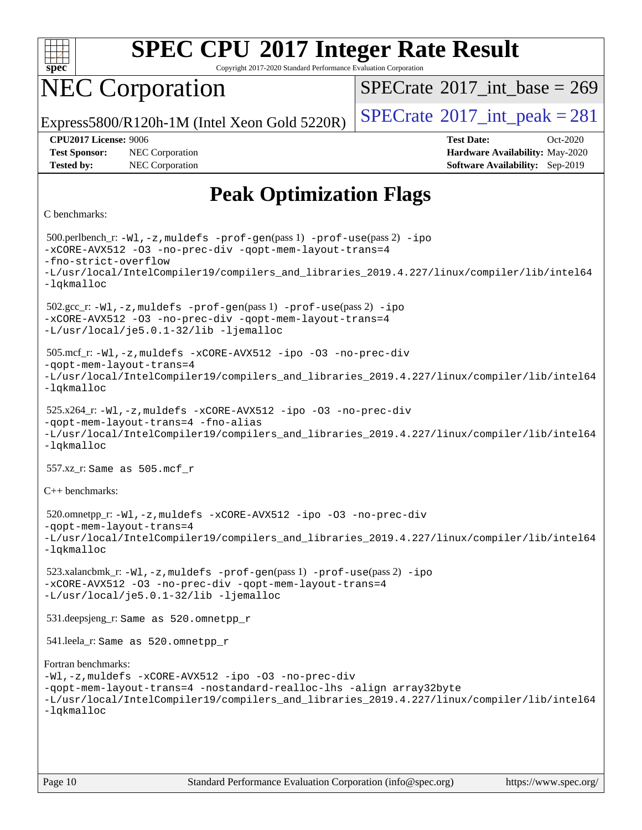

Copyright 2017-2020 Standard Performance Evaluation Corporation

## NEC Corporation

 $SPECTate@2017_int\_base = 269$ 

Express5800/R120h-1M (Intel Xeon Gold 5220R)  $\big|$  [SPECrate](http://www.spec.org/auto/cpu2017/Docs/result-fields.html#SPECrate2017intpeak)  $2017$  int peak = 281

**[Tested by:](http://www.spec.org/auto/cpu2017/Docs/result-fields.html#Testedby)** NEC Corporation **[Software Availability:](http://www.spec.org/auto/cpu2017/Docs/result-fields.html#SoftwareAvailability)** Sep-2019

**[CPU2017 License:](http://www.spec.org/auto/cpu2017/Docs/result-fields.html#CPU2017License)** 9006 **[Test Date:](http://www.spec.org/auto/cpu2017/Docs/result-fields.html#TestDate)** Oct-2020 **[Test Sponsor:](http://www.spec.org/auto/cpu2017/Docs/result-fields.html#TestSponsor)** NEC Corporation **[Hardware Availability:](http://www.spec.org/auto/cpu2017/Docs/result-fields.html#HardwareAvailability)** May-2020

### **[Peak Optimization Flags](http://www.spec.org/auto/cpu2017/Docs/result-fields.html#PeakOptimizationFlags)**

#### [C benchmarks](http://www.spec.org/auto/cpu2017/Docs/result-fields.html#Cbenchmarks):

```
 500.perlbench_r: -Wl,-z,muldefs -prof-gen(pass 1) -prof-use(pass 2) -ipo
-xCORE-AVX512 -O3 -no-prec-div -qopt-mem-layout-trans=4
-fno-strict-overflow
-L/usr/local/IntelCompiler19/compilers_and_libraries_2019.4.227/linux/compiler/lib/intel64
-lqkmalloc
 502.gcc_r: -Wl,-z,muldefs -prof-gen(pass 1) -prof-use(pass 2) -ipo
-xCORE-AVX512 -O3 -no-prec-div -qopt-mem-layout-trans=4
-L/usr/local/je5.0.1-32/lib -ljemalloc
 505.mcf_r: -Wl,-z,muldefs -xCORE-AVX512 -ipo -O3 -no-prec-div
-qopt-mem-layout-trans=4
-L/usr/local/IntelCompiler19/compilers_and_libraries_2019.4.227/linux/compiler/lib/intel64
-lqkmalloc
 525.x264_r: -Wl,-z,muldefs -xCORE-AVX512 -ipo -O3 -no-prec-div
-qopt-mem-layout-trans=4 -fno-alias
-L/usr/local/IntelCompiler19/compilers_and_libraries_2019.4.227/linux/compiler/lib/intel64
-lqkmalloc
 557.xz_r: Same as 505.mcf_r
C++ benchmarks: 
 520.omnetpp_r: -Wl,-z,muldefs -xCORE-AVX512 -ipo -O3 -no-prec-div
-qopt-mem-layout-trans=4
-L/usr/local/IntelCompiler19/compilers_and_libraries_2019.4.227/linux/compiler/lib/intel64
-lqkmalloc
 523.xalancbmk_r: -Wl,-z,muldefs -prof-gen(pass 1) -prof-use(pass 2) -ipo
-xCORE-AVX512 -O3 -no-prec-div -qopt-mem-layout-trans=4
-L/usr/local/je5.0.1-32/lib -ljemalloc
 531.deepsjeng_r: Same as 520.omnetpp_r
 541.leela_r: Same as 520.omnetpp_r
Fortran benchmarks: 
-Wl,-z,muldefs -xCORE-AVX512 -ipo -O3 -no-prec-div
-qopt-mem-layout-trans=4 -nostandard-realloc-lhs -align array32byte
-L/usr/local/IntelCompiler19/compilers_and_libraries_2019.4.227/linux/compiler/lib/intel64
-lqkmalloc
```